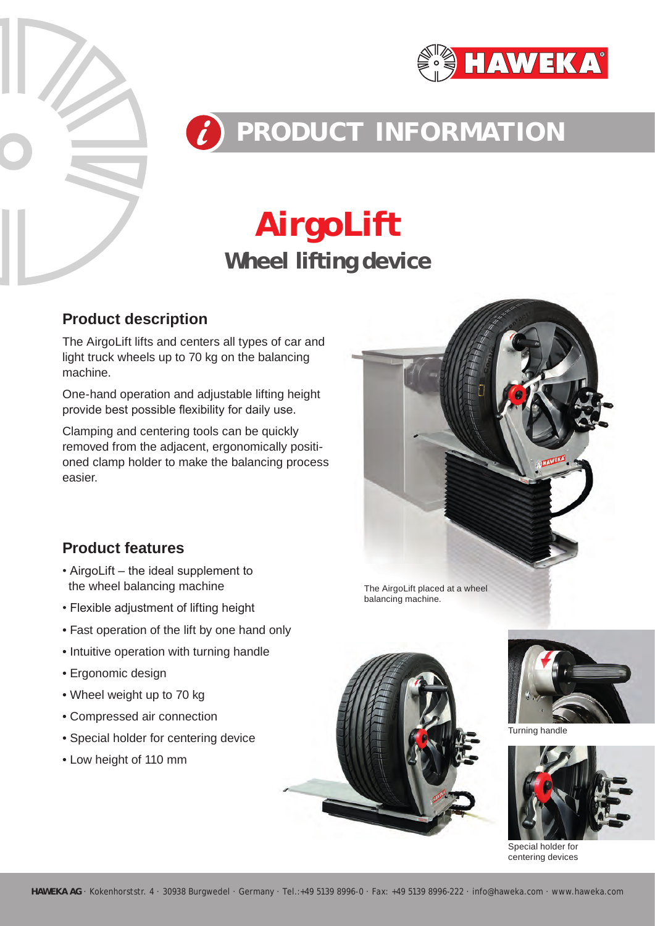



# **PRODUCT INFORMATION**

## **Wheel lifting device AirgoLift**

#### **Product description**

The AirgoLift lifts and centers all types of car and light truck wheels up to 70 kg on the balancing machine.

One-hand operation and adjustable lifting height provide best possible flexibility for daily use.

Clamping and centering tools can be quickly removed from the adjacent, ergonomically positioned clamp holder to make the balancing process easier.



**Product features**

- AirgoLift the ideal supplement to the wheel balancing machine
- Flexible adjustment of lifting height
- Fast operation of the lift by one hand only
- Intuitive operation with turning handle
- Ergonomic design
- Wheel weight up to 70 kg
- Compressed air connection
- Special holder for centering device
- Low height of 110 mm







Turning handle



Special holder for centering devices